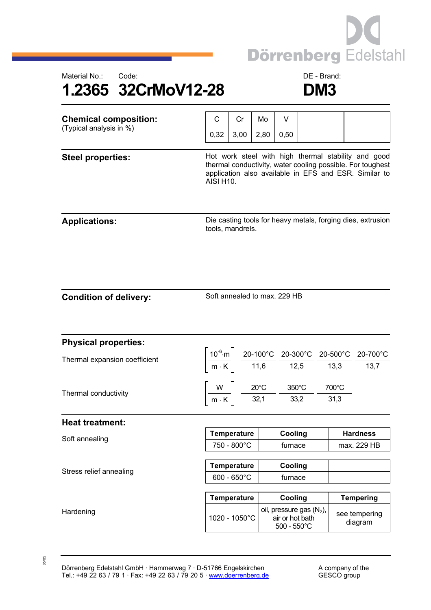



| <b>Chemical composition:</b><br>(Typical analysis in %) | С                                                                                                                                                                                              | Cr                                                                                                                                                                                                                                               | Mo   | V                                                                       |  |       |                          |  |
|---------------------------------------------------------|------------------------------------------------------------------------------------------------------------------------------------------------------------------------------------------------|--------------------------------------------------------------------------------------------------------------------------------------------------------------------------------------------------------------------------------------------------|------|-------------------------------------------------------------------------|--|-------|--------------------------|--|
|                                                         | 0,32                                                                                                                                                                                           | 3,00                                                                                                                                                                                                                                             | 2,80 | 0,50                                                                    |  |       |                          |  |
|                                                         |                                                                                                                                                                                                |                                                                                                                                                                                                                                                  |      |                                                                         |  |       |                          |  |
| <b>Steel properties:</b>                                | Hot work steel with high thermal stability and good<br>thermal conductivity, water cooling possible. For toughest<br>application also available in EFS and ESR. Similar to<br><b>AISI H10.</b> |                                                                                                                                                                                                                                                  |      |                                                                         |  |       |                          |  |
| <b>Applications:</b>                                    | Die casting tools for heavy metals, forging dies, extrusion<br>tools, mandrels.                                                                                                                |                                                                                                                                                                                                                                                  |      |                                                                         |  |       |                          |  |
| <b>Condition of delivery:</b>                           | Soft annealed to max. 229 HB                                                                                                                                                                   |                                                                                                                                                                                                                                                  |      |                                                                         |  |       |                          |  |
| <b>Physical properties:</b>                             |                                                                                                                                                                                                |                                                                                                                                                                                                                                                  |      |                                                                         |  |       |                          |  |
| Thermal expansion coefficient                           |                                                                                                                                                                                                | $\left[\frac{10^{-6} \text{ m}}{\text{m} \cdot \text{K}}\right] \frac{\text{20-100}^{\circ} \text{C}}{11,6} \frac{\text{20-300}^{\circ} \text{C}}{12,5} \frac{\text{20-500}^{\circ} \text{C}}{13,3} \frac{\text{20-700}^{\circ} \text{C}}{13,7}$ |      |                                                                         |  |       |                          |  |
| Thermal conductivity                                    |                                                                                                                                                                                                | $\begin{array}{ c c c c c }\hline \text{W} & \text{20°C} & \text{350°C} \\ \hline \text{m} \cdot \text{K} & \text{32,1} & \text{33,2} \\ \hline \end{array}$                                                                                     |      |                                                                         |  | 700°C |                          |  |
|                                                         |                                                                                                                                                                                                |                                                                                                                                                                                                                                                  |      |                                                                         |  | 31,3  |                          |  |
| <b>Heat treatment:</b>                                  |                                                                                                                                                                                                |                                                                                                                                                                                                                                                  |      |                                                                         |  |       |                          |  |
| Soft annealing                                          | <b>Temperature</b>                                                                                                                                                                             |                                                                                                                                                                                                                                                  |      | Cooling                                                                 |  |       | <b>Hardness</b>          |  |
|                                                         | 750 - 800°C                                                                                                                                                                                    |                                                                                                                                                                                                                                                  |      | furnace                                                                 |  |       | max. 229 HB              |  |
| Stress relief annealing                                 | <b>Temperature</b>                                                                                                                                                                             |                                                                                                                                                                                                                                                  |      | Cooling                                                                 |  |       |                          |  |
|                                                         | $600 - 650^{\circ}$ C                                                                                                                                                                          |                                                                                                                                                                                                                                                  |      | furnace                                                                 |  |       |                          |  |
|                                                         | <b>Temperature</b>                                                                                                                                                                             |                                                                                                                                                                                                                                                  |      | Cooling                                                                 |  |       | <b>Tempering</b>         |  |
| Hardening                                               |                                                                                                                                                                                                | 1020 - 1050°C                                                                                                                                                                                                                                    |      | oil, pressure gas $(N_2)$ ,<br>air or hot bath<br>$500 - 550^{\circ}$ C |  |       | see tempering<br>diagram |  |

05/05